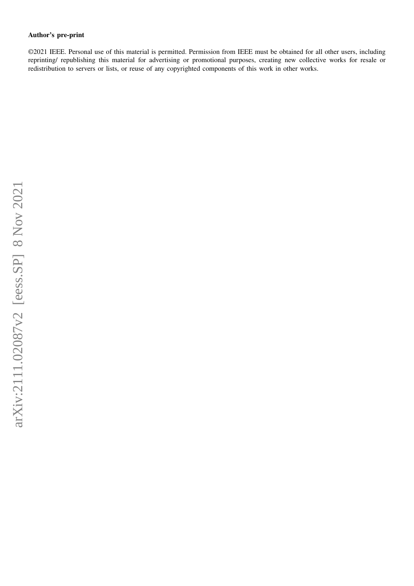## **Author's pre-print**

©2021 IEEE. Personal use of this material is permitted. Permission from IEEE must be obtained for all other users, including reprinting/ republishing this material for advertising or promotional purposes, creating new collective works for resale or redistribution to servers or lists, or reuse of any copyrighted components of this work in other works.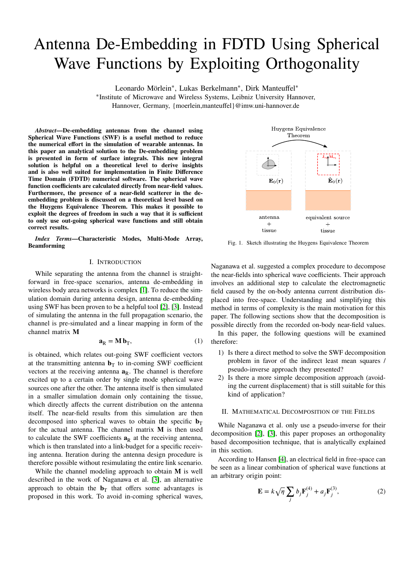# Antenna De-Embedding in FDTD Using Spherical Wave Functions by Exploiting Orthogonality

Leonardo Mörlein<sup>∗</sup>, Lukas Berkelmann<sup>∗</sup>, Dirk Manteuffel<sup>∗</sup>

∗ Institute of Microwave and Wireless Systems, Leibniz University Hannover, Hannover, Germany, {moerlein,manteuffel}@imw.uni-hannover.de

*Abstract***—De-embedding antennas from the channel using Spherical Wave Functions (SWF) is a useful method to reduce the numerical effort in the simulation of wearable antennas. In this paper an analytical solution to the De-embedding problem is presented in form of surface integrals. This new integral solution is helpful on a theoretical level to derive insights and is also well suited for implementation in Finite Difference Time Domain (FDTD) numerical software. The spherical wave function coefficients are calculated directly from near-field values. Furthermore, the presence of a near-field scatterer in the deembedding problem is discussed on a theoretical level based on the Huygens Equivalence Theorem. This makes it possible to exploit the degrees of freedom in such a way that it is sufficient to only use out-going spherical wave functions and still obtain correct results.**

*Index Terms***—Characteristic Modes, Multi-Mode Array, Beamforming**

## I. INTRODUCTION

While separating the antenna from the channel is straightforward in free-space scenarios, antenna de-embedding in wireless body area networks is complex [\[1\]](#page-5-0). To reduce the simulation domain during antenna design, antenna de-embedding using SWF has been proven to be a helpful tool [\[2\]](#page-5-1), [\[3\]](#page-5-2). Instead of simulating the antenna in the full propagation scenario, the channel is pre-simulated and a linear mapping in form of the channel matrix M

$$
\mathbf{a}_{R} = \mathbf{M} \, \mathbf{b}_{T},\tag{1}
$$

is obtained, which relates out-going SWF coefficient vectors at the transmitting antenna  $\mathbf{b}_T$  to in-coming SWF coefficient vectors at the receiving antenna  $\mathbf{a}_R$ . The channel is therefore excited up to a certain order by single mode spherical wave sources one after the other. The antenna itself is then simulated in a smaller simulation domain only containing the tissue, which directly affects the current distribution on the antenna itself. The near-field results from this simulation are then decomposed into spherical waves to obtain the specific  $$ for the actual antenna. The channel matrix M is then used to calculate the SWF coefficients  $a_R$  at the receiving antenna, which is then translated into a link-budget for a specific receiving antenna. Iteration during the antenna design procedure is therefore possible without resimulating the entire link scenario.

While the channel modeling approach to obtain **M** is well described in the work of Naganawa et al. [\[3\]](#page-5-2), an alternative approach to obtain the  $\mathbf{b}_T$  that offers some advantages is proposed in this work. To avoid in-coming spherical waves,



<span id="page-1-1"></span>Fig. 1. Sketch illustrating the Huygens Equivalence Theorem

Naganawa et al. suggested a complex procedure to decompose the near-fields into spherical wave coefficients. Their approach involves an additional step to calculate the electromagnetic field caused by the on-body antenna current distribution displaced into free-space. Understanding and simplifying this method in terms of complexity is the main motivation for this paper. The following sections show that the decomposition is possible directly from the recorded on-body near-field values.

In this paper, the following questions will be examined therefore:

- 1) Is there a direct method to solve the SWF decomposition problem in favor of the indirect least mean squares / pseudo-inverse approach they presented?
- 2) Is there a more simple decomposition approach (avoiding the current displacement) that is still suitable for this kind of application?

#### II. MATHEMATICAL DECOMPOSITION OF THE FIELDS

While Naganawa et al. only use a pseudo-inverse for their decomposition [\[2\]](#page-5-1), [\[3\]](#page-5-2), this paper proposes an orthogonality based decomposition technique, that is analytically explained in this section.

According to Hansen [\[4\]](#page-5-3), an electrical field in free-space can be seen as a linear combination of spherical wave functions at an arbitrary origin point:

<span id="page-1-0"></span>
$$
\mathbf{E} = k\sqrt{\eta} \sum_{j} b_j \mathbf{F}_j^{(4)} + a_j \mathbf{F}_j^{(3)},
$$
 (2)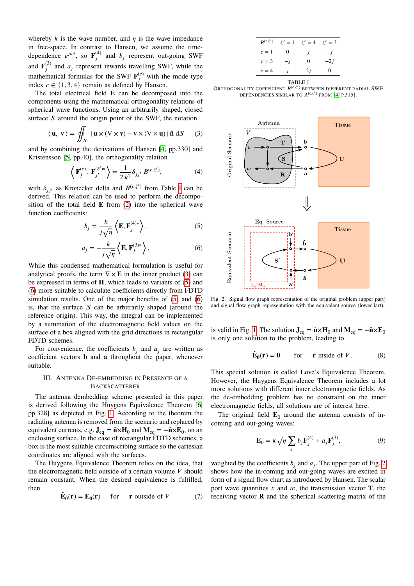whereby  $k$  is the wave number, and  $\eta$  is the wave impedance in free-space. In contrast to Hansen, we assume the timedependence  $e^{j\omega t}$ , so  $\mathbf{F}^{(4)}$  $j^{(4)}$  and  $b_j$  represent out-going SWF and  $\mathbf{F}^{(3)}$  $j^{(5)}$  and  $a_j$  represent inwards travelling SWF, while the mathematical formulas for the SWF  $\mathbf{F}_i^{(c)}$  $j^{(c)}$  with the mode type index  $c \in \{1, 3, 4\}$  remain as defined by Hansen.

The total electrical field **E** can be decomposed into the components using the mathematical orthogonality relations of spherical wave functions. Using an arbitrarily shaped, closed surface *S* around the origin point of the SWF, the notation

<span id="page-2-1"></span>
$$
\langle \mathbf{u}, \mathbf{v} \rangle = \iint_S \{ \mathbf{u} \times (\nabla \times \mathbf{v}) - \mathbf{v} \times (\nabla \times \mathbf{u}) \} \,\hat{\mathbf{n}} \, dS
$$
 (3)

and by combining the derivations of Hansen [\[4,](#page-5-3) pp.330] and Kristensson [\[5,](#page-5-4) pp.40], the orthogonality relation

<span id="page-2-7"></span>
$$
\langle \mathbf{F}_{j}^{(c)}, \mathbf{F}_{j'}^{(\xi')*} \rangle = \frac{1}{2 k^2} \delta_{jj'} B^{(c,\xi')},
$$
 (4)

with  $\delta_{jj'}$  as Kronecker delta and  $B^{(c,\xi')}$  from Table [I](#page-2-0) can be derived. This relation can be used to perform the decomposition of the total field  $\bf{E}$  from [\(2\)](#page-1-0) into the spherical wave function coefficients:

<span id="page-2-2"></span>
$$
b_j = \frac{k}{j\sqrt{\eta}} \left\langle \mathbf{E}, \mathbf{F}_j^{(4)*} \right\rangle, \tag{5}
$$

<span id="page-2-3"></span>
$$
a_j = -\frac{k}{j\sqrt{\eta}} \left\langle \mathbf{E}, \mathbf{F}_j^{(3)*} \right\rangle.
$$
 (6)

While this condensed mathematical formulation is useful for analytical proofs, the term  $\nabla \times \mathbf{E}$  in the inner product [\(3\)](#page-2-1) can be expressed in terms of **H**, which leads to variants of [\(5\)](#page-2-2) and [\(6\)](#page-2-3) more suitable to calculate coefficients directly from FDTD simulation results. One of the major benefits of [\(5\)](#page-2-2) and [\(6\)](#page-2-3) is, that the surface  $S$  can be arbitrarily shaped (around the reference origin). This way, the integral can be implemented by a summation of the electromagnetic field values on the surface of a box aligned with the grid directions in rectangular FDTD schemes.

For convenience, the coefficients  $b_j$  and  $a_j$  are written as coefficient vectors **b** and **a** throughout the paper, whenever suitable.

## III. ANTENNA DE-EMBEDDING IN PRESENCE OF A BACKSCATTERER

The antenna dembedding scheme presented in this paper is derived following the Huygens Equivalence Theorem [\[6,](#page-5-5) pp.328] as depicted in Fig. [1.](#page-1-1) According to the theorem the radiating antenna is removed from the scenario and replaced by equivalent currents, e.g.  $J_{eq} = \hat{n} \times H_0$  and  $M_{eq} = -\hat{n} \times E_0$ , on an enclosing surface. In the case of rectangular FDTD schemes, a box is the most suitable circumscribing surface so the cartesian coordinates are aligned with the surfaces.

The Huygens Equivalence Theorem relies on the idea, that the electromagnetic field outside of a certain volume  $V$  should remain constant. When the desired equivalence is fulfilled, then

<span id="page-2-5"></span>
$$
\hat{\mathbf{E}}_0(\mathbf{r}) = \mathbf{E}_0(\mathbf{r}) \quad \text{for} \quad \mathbf{r} \text{ outside of } V \tag{7}
$$

| $B^{(c,\xi')}$ | $\xi' = 1$ | $\xi' = 4$ $\xi' = 3$ |       |
|----------------|------------|-----------------------|-------|
| $c=1$          | 0          | İ                     | $-j$  |
| $c=3$          | $-i$       | 0                     | $-2i$ |
| $c=4$          | İ          | 2i                    | 0     |
| TABLE I        |            |                       |       |

<span id="page-2-0"></span>ORTHOGONALITY COEFFICIENT  $B^{(c,\xi')}$  between different radial SWF DEPENDENCIES SIMILAR TO  $A^{(c,c')}$  FROM [\[4,](#page-5-3) P.315].



<span id="page-2-4"></span>Fig. 2. Signal flow graph representation of the original problem (upper part) and signal flow graph representation with the equivalent source (lower lart).

is valid in Fig. [1.](#page-1-1) The solution  $J_{eq} = \hat{n} \times H_0$  and  $M_{eq} = -\hat{n} \times E_0$ is only one solution to the problem, leading to

$$
\hat{\mathbf{E}}_0(\mathbf{r}) = \mathbf{0} \qquad \text{for} \qquad \mathbf{r} \text{ inside of } V. \tag{8}
$$

This special solution is called Love's Equivalence Theorem. However, the Huygens Equivalence Theorem includes a lot more solutions with different inner electromagnetic fields. As the de-embedding problem has no constraint on the inner electromagnetic fields, all solutions are of interest here.

The original field  $\mathbf{E}_0$  around the antenna consists of incoming and out-going waves:

<span id="page-2-6"></span>
$$
\mathbf{E}_0 = k\sqrt{\eta} \sum_j b_j \mathbf{F}_j^{(4)} + a_j \mathbf{F}_j^{(3)},\tag{9}
$$

weighted by the coefficients  $b_j$  and  $a_j$ . The upper part of Fig. [2](#page-2-4) shows how the in-coming and out-going waves are excited in form of a signal flow chart as introduced by Hansen. The scalar port wave quantities  $\nu$  and  $\omega$ , the transmission vector **T**, the receiving vector **R** and the spherical scattering matrix of the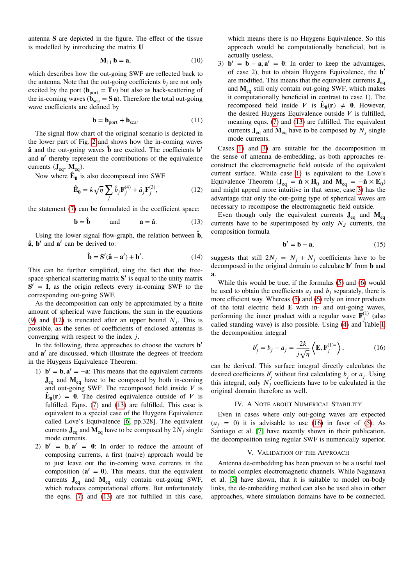antenna S are depicted in the figure. The effect of the tissue is modelled by introducing the matrix U

$$
\mathbf{M}_{11}\,\mathbf{b} = \mathbf{a},\tag{10}
$$

which describes how the out-going SWF are reflected back to the antenna. Note that the out-going coefficients  $b_j$  are not only excited by the port ( $\mathbf{b}_{\text{port}} = \mathbf{T}v$ ) but also as back-scattering of the in-coming waves ( $\dot{\mathbf{b}}_{\text{sea}} = \mathbf{S} \mathbf{a}$ ). Therefore the total out-going wave coefficients are defined by

$$
\mathbf{b} = \mathbf{b}_{\text{port}} + \mathbf{b}_{\text{sca}}.\tag{11}
$$

The signal flow chart of the original scenario is depicted in the lower part of Fig. [2](#page-2-4) and shows how the in-coming waves **â** and the out-going waves  $\hat{\mathbf{b}}$  are excited. The coefficients **b**<sup>'</sup> and a' thereby represent the contributions of the equivalence currents  $(\mathbf{J}_{eq}, \mathbf{M}_{eq})$ .

Now where  $\mathbf{\hat{E}_0}$  is also decomposed into SWF

<span id="page-3-0"></span>
$$
\hat{\mathbf{E}}_0 = k\sqrt{\eta} \sum_j \hat{b}_j \mathbf{F}_j^{(4)} + \hat{a}_j \mathbf{F}_j^{(3)},\tag{12}
$$

the statement [\(7\)](#page-2-5) can be formulated in the coefficient space:

<span id="page-3-1"></span>
$$
\mathbf{b} = \hat{\mathbf{b}} \qquad \text{and} \qquad \mathbf{a} = \hat{\mathbf{a}}. \tag{13}
$$

Using the lower signal flow-graph, the relation between  $\hat{\mathbf{b}}$ ,  $\hat{a}$ , **b'** and  $\hat{a}'$  can be derived to:

$$
\mathbf{\hat{b}} = \mathbf{S}'(\mathbf{\hat{a}} - \mathbf{a}') + \mathbf{b}'.\tag{14}
$$

This can be further simplified, uing the fact that the freespace spherical scattering matrix S' is equal to the unity matrix  $S' = I$ , as the origin reflects every in-coming SWF to the corresponding out-going SWF.

As the decomposition can only be approximated by a finite amount of spherical wave functions, the sum in the equations [\(9\)](#page-2-6) and [\(12\)](#page-3-0) is truncated after an upper bound  $N_j$ . This is possible, as the series of coefficients of enclosed antennas is converging with respect to the index *j*.

In the following, three approaches to choose the vectors **b**<sup>*/*</sup> and a' are discussed, which illustrate the degrees of freedom in the Huygens Equivalence Theorem:

- <span id="page-3-2"></span>1)  $\mathbf{b}' = \mathbf{b}, \mathbf{a}' = -\mathbf{a}$ : This means that the equivalent currents  $J_{eq}$  and  $M_{eq}$  have to be composed by both in-coming and out-going SWF. The recomposed field inside  $V$  is  $\mathbf{\hat{E}}_0(\mathbf{r}) = \mathbf{0}$ . The desired equivalence outside of *V* is fulfilled. Eqns. [\(7\)](#page-2-5) and [\(13\)](#page-3-1) are fulfilled. This case is equivalent to a special case of the Huygens Equivalence called Love's Equivalence [\[6,](#page-5-5) pp.328]. The equivalent currents  $J_{eq}$  and  $M_{eq}$  have to be composed by  $2N_j$  single mode currents.
- 2)  $\mathbf{b}' = \mathbf{b}, \mathbf{a}' = \mathbf{0}$ : In order to reduce the amount of composing currents, a first (naive) approach would be to just leave out the in-coming wave currents in the composition  $(a' = 0)$ . This means, that the equivalent currents  $J_{eq}$  and  $M_{eq}$  only contain out-going SWF, which reduces computational efforts. But unfortunately the eqns. [\(7\)](#page-2-5) and [\(13\)](#page-3-1) are not fulfilled in this case,

which means there is no Huygens Equivalence. So this approach would be computationally beneficial, but is actually useless.

<span id="page-3-3"></span>3)  $\mathbf{b}' = \mathbf{b} - \mathbf{a}, \mathbf{a}' = \mathbf{0}$ : In order to keep the advantages, of case 2), but to obtain Huygens Equivalence, the **b**<sup>*i*</sup> are modified. This means that the equivalent currents  $J_{eq}$ and M<sub>eq</sub> still only contain out-going SWF, which makes it computationally beneficial in contrast to case 1). The recomposed field inside *V* is  $\mathbf{\hat{E}}_0(\mathbf{r}) \neq 0$ . However, the desired Huygens Equivalence outside  $V$  is fulfilled, meaning eqns. [\(7\)](#page-2-5) and [\(13\)](#page-3-1) are fulfilled. The equivalent currents  $J_{eq}$  and  $M_{eq}$  have to be composed by  $N_j$  single mode currents.

Cases [1\)](#page-3-2) and [3\)](#page-3-3) are suitable for the decomposition in the sense of antenna de-embedding, as both approaches reconstruct the electromagnetic field outside of the equivalent current surface. While case [1\)](#page-3-2) is equivalent to the Love's Equivalence Theorem ( $J_{eq} = \hat{\bf{n}} \times H_0$  and  $M_{eq} = -\hat{\bf{n}} \times E_0$ ) and might appeal more intuitive in that sense, case [3\)](#page-3-3) has the advantage that only the out-going type of spherical waves are necessary to recompose the electromagnetic field outside.

Even though only the equivalent currents  $J_{eq}$  and  $M_{eq}$ currents have to be superimposed by only  $N<sub>J</sub>$  currents, the composition formula

$$
\mathbf{b}' = \mathbf{b} - \mathbf{a},\tag{15}
$$

suggests that still  $2N_j = N_j + N_j$  coefficients have to be decomposed in the original domain to calculate **b'** from **b** and **a**.

While this would be true, if the formulas [\(5\)](#page-2-2) and [\(6\)](#page-2-3) would be used to obtain the coefficients  $a_j$  and  $b_j$  separately, there is more efficient way. Whereas [\(5\)](#page-2-2) and [\(6\)](#page-2-3) rely on inner products of the total electric field E with in- and out-going waves, performing the inner product with a regular wave  $\mathbf{F}_i^{(1)}$  $j^{(1)}$  (also called standing wave) is also possible. Using [\(4\)](#page-2-7) and Table [I,](#page-2-0) the decomposition integral

<span id="page-3-4"></span>
$$
b'_{j} = b_{j} - a_{j} = \frac{2k}{j\sqrt{\eta}} \left\langle \mathbf{E}, \mathbf{F}_{j}^{(1)*} \right\rangle, \tag{16}
$$

can be derived. This surface integral directly calculates the desired coefficients  $b'_j$  without first calculating  $b_j$  or  $a_j$ . Using this integral, only  $N_j^{\prime}$  coefficients have to be calculated in the original domain therefore as well.

## IV. A NOTE ABOUT NUMERICAL STABILITY

Even in cases where only out-going waves are expected  $(a_i = 0)$  it is advisable to use [\(16\)](#page-3-4) in favor of [\(5\)](#page-2-2). As Santiago et al. [\[7\]](#page-5-6) have recently shown in their publication, the decomposition using regular SWF is numerically superior.

### V. VALIDATION OF THE APPROACH

Antenna de-embedding has been prooven to be a useful tool to model complex electromagnetic channels. While Naganawa et al. [\[3\]](#page-5-2) have shown, that it is suitable to model on-body links, the de-embedding method can also be used also in other approaches, where simulation domains have to be connected.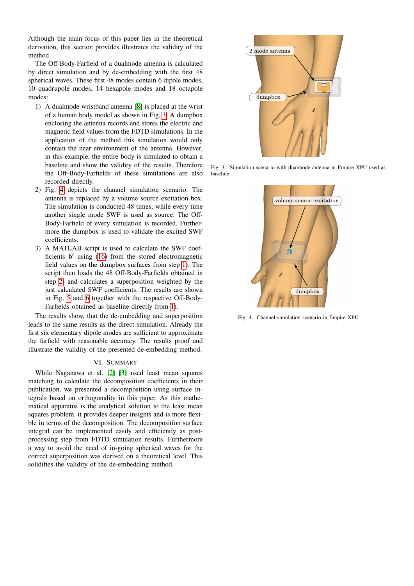Although the main focus of this paper lies in the theoretical derivation, this section provides illustrates the validity of the method.

The Off-Body-Farfield of a dualmode antenna is calculated by direct simulation and by de-embedding with the first 48 spherical waves. These first 48 modes contain 6 dipole modes, 10 quadrupole modes, 14 hexapole modes and 18 octupole modes:

- <span id="page-4-2"></span>1) A dualmode wristband antenna [\[8\]](#page-5-7) is placed at the wrist of a human body model as shown in Fig. [3.](#page-4-0) A dumpbox enclosing the antenna records and stores the electric and magnetic field values from the FDTD simulations. In the application of the method this simulation would only contain the near environment of the antenna. However, in this example, the entire body is simulated to obtain a baseline and show the validity of the results. Therefore the Off-Body-Farfields of these simulations are also recorded directly.
- <span id="page-4-3"></span>2) Fig. [4](#page-4-1) depicts the channel simulation scenario. The antenna is replaced by a volume source excitation box. The simulation is conducted 48 times, while every time another single mode SWF is used as source. The Off-Body-Farfield of every simulation is recorded. Furthermore the dumpbox is used to validate the excited SWF coefficients.
- 3) A MATLAB script is used to calculate the SWF coefficients **b'** using [\(16\)](#page-3-4) from the stored electromagnetic field values on the dumpbox surfaces from step [1\)](#page-4-2). The script then loads the 48 Off-Body-Farfields obtained in step [2\)](#page-4-3) and calculates a superposition weighted by the just calculated SWF coefficients. The results are shown in Fig. [5](#page-5-8) and [6](#page-5-9) together with the respective Off-Body-Farfields obtained as baseline directly from [1\)](#page-4-2).

The results show, that the de-embedding and superposition leads to the same results as the direct simulation. Already the first six elementary dipole modes are sufficient to approximate the farfield with reasonable accuracy. The results proof and illustrate the validity of the presented de-embedding method.

## VI. SUMMARY

While Naganawa et al. [\[2\]](#page-5-1) [\[3\]](#page-5-2) used least mean squares matching to calculate the decomposition coefficients in their publication, we presented a decomposition using surface integrals based on orthogonality in this paper. As this mathematical apparatus is the analytical solution to the least mean squares problem, it provides deeper insights and is more flexible in terms of the decomposition. The decomposition surface integral can be implemented easily and efficiently as postprocessing step from FDTD simulation results. Furthermore a way to avoid the need of in-going spherical waves for the correct superposition was derived on a theoretical level. This solidifies the validity of the de-embedding method.



<span id="page-4-0"></span>Fig. 3. Simulation scenario with dualmode antenna in Empire XPU used as baseline



<span id="page-4-1"></span>Fig. 4. Channel simulation scenario in Empire XPU